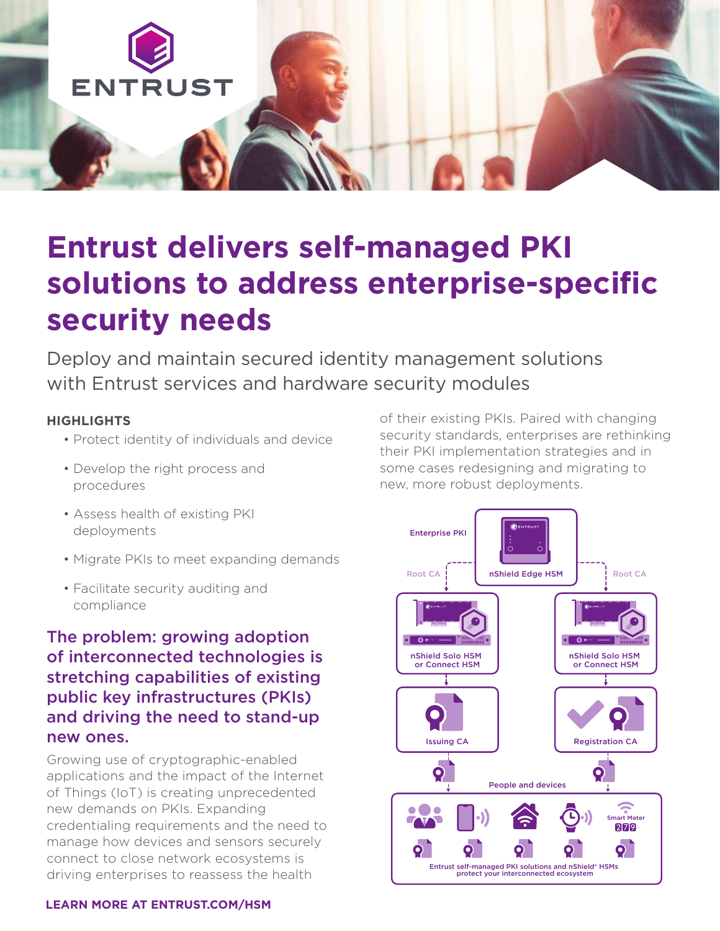

# **Entrust delivers self-managed PKI solutions to address enterprise-specific security needs**

Deploy and maintain secured identity management solutions with Entrust services and hardware security modules

#### **HIGHLIGHTS**

- Protect identity of individuals and device
- Develop the right process and procedures
- Assess health of existing PKI deployments
- Migrate PKIs to meet expanding demands
- Facilitate security auditing and compliance

#### The problem: growing adoption of interconnected technologies is stretching capabilities of existing public key infrastructures (PKIs) and driving the need to stand-up new ones.

Growing use of cryptographic-enabled applications and the impact of the Internet of Things (IoT) is creating unprecedented new demands on PKIs. Expanding credentialing requirements and the need to manage how devices and sensors securely connect to close network ecosystems is driving enterprises to reassess the health

of their existing PKIs. Paired with changing security standards, enterprises are rethinking their PKI implementation strategies and in some cases redesigning and migrating to new, more robust deployments.



#### **LEARN MORE AT ENTRUST.COM/HSM**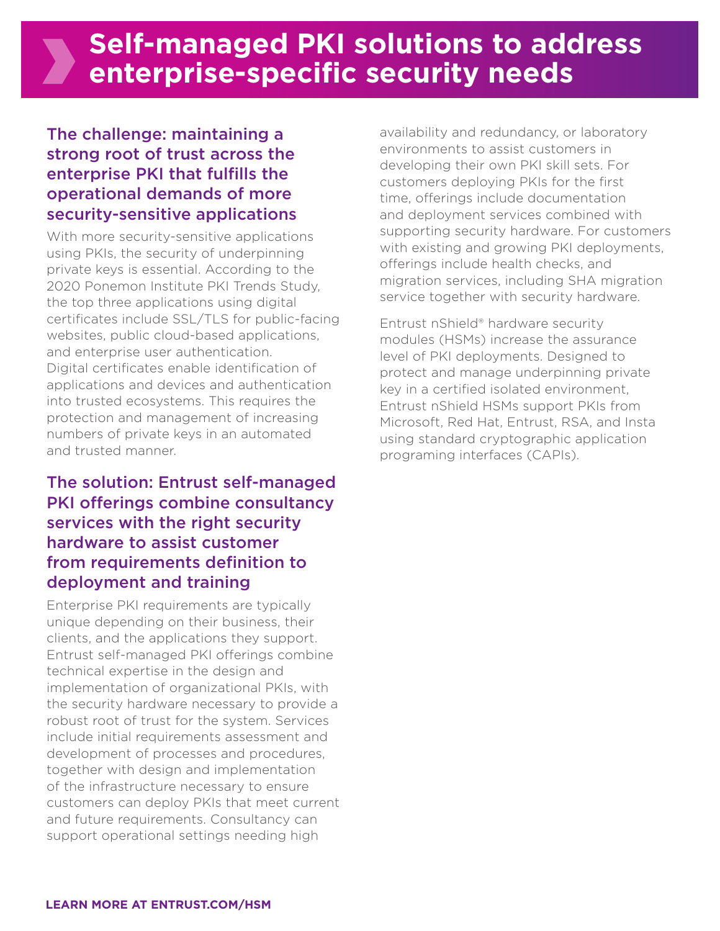#### The challenge: maintaining a strong root of trust across the enterprise PKI that fulfills the operational demands of more security-sensitive applications

With more security-sensitive applications using PKIs, the security of underpinning private keys is essential. According to the 2020 Ponemon Institute PKI Trends Study, the top three applications using digital certificates include SSL/TLS for public-facing websites, public cloud-based applications, and enterprise user authentication. Digital certificates enable identification of applications and devices and authentication into trusted ecosystems. This requires the protection and management of increasing numbers of private keys in an automated and trusted manner.

#### The solution: Entrust self-managed PKI offerings combine consultancy services with the right security hardware to assist customer from requirements definition to deployment and training

Enterprise PKI requirements are typically unique depending on their business, their clients, and the applications they support. Entrust self-managed PKI offerings combine technical expertise in the design and implementation of organizational PKIs, with the security hardware necessary to provide a robust root of trust for the system. Services include initial requirements assessment and development of processes and procedures, together with design and implementation of the infrastructure necessary to ensure customers can deploy PKIs that meet current and future requirements. Consultancy can support operational settings needing high

availability and redundancy, or laboratory environments to assist customers in developing their own PKI skill sets. For customers deploying PKIs for the first time, offerings include documentation and deployment services combined with supporting security hardware. For customers with existing and growing PKI deployments, offerings include health checks, and migration services, including SHA migration service together with security hardware.

Entrust nShield® hardware security modules (HSMs) increase the assurance level of PKI deployments. Designed to protect and manage underpinning private key in a certified isolated environment, Entrust nShield HSMs support PKIs from Microsoft, Red Hat, Entrust, RSA, and Insta using standard cryptographic application programing interfaces (CAPIs).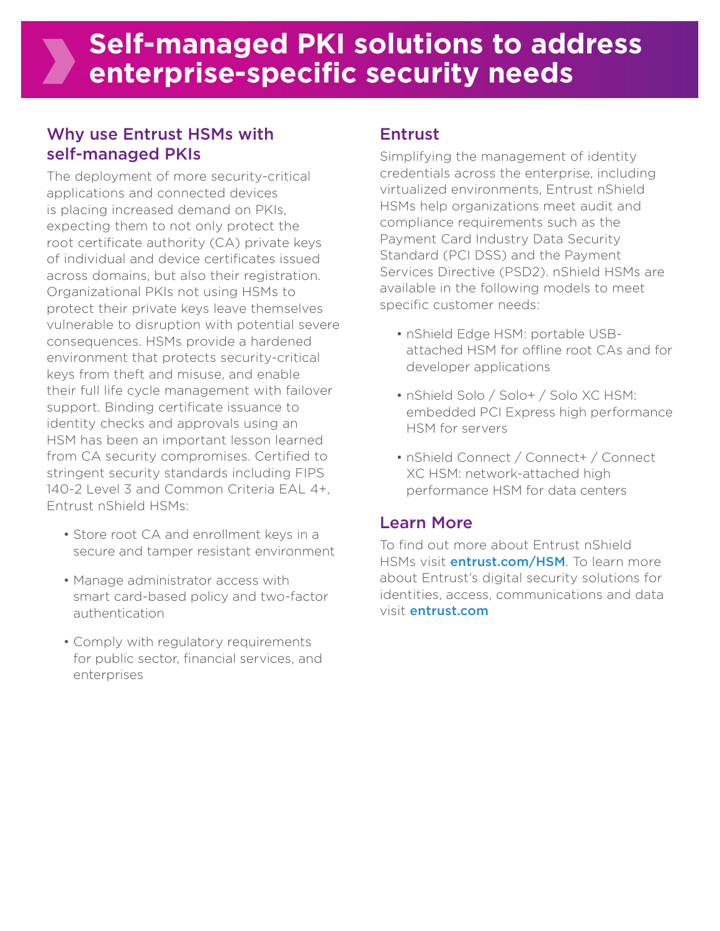## Why use Entrust HSMs with self-managed PKIs

The deployment of more security-critical applications and connected devices is placing increased demand on PKIs, expecting them to not only protect the root certificate authority (CA) private keys of individual and device certificates issued across domains, but also their registration. Organizational PKIs not using HSMs to protect their private keys leave themselves vulnerable to disruption with potential severe consequences. HSMs provide a hardened environment that protects security-critical keys from theft and misuse, and enable their full life cycle management with failover support. Binding certificate issuance to identity checks and approvals using an HSM has been an important lesson learned from CA security compromises. Certified to stringent security standards including FIPS 140-2 Level 3 and Common Criteria EAL 4+, Entrust nShield HSMs:

- Store root CA and enrollment keys in a secure and tamper resistant environment
- Manage administrator access with smart card-based policy and two-factor authentication
- Comply with regulatory requirements for public sector, financial services, and enterprises

### Entrust

Simplifying the management of identity credentials across the enterprise, including virtualized environments, Entrust nShield HSMs help organizations meet audit and compliance requirements such as the Payment Card Industry Data Security Standard (PCI DSS) and the Payment Services Directive (PSD2). nShield HSMs are available in the following models to meet specific customer needs:

- nShield Edge HSM: portable USBattached HSM for offline root CAs and for developer applications
- nShield Solo / Solo+ / Solo XC HSM: embedded PCI Express high performance HSM for servers
- nShield Connect / Connect+ / Connect XC HSM: network-attached high performance HSM for data centers

## Learn More

To find out more about Entrust nShield HSMs visit *entrust.com/HSM*. To learn more about Entrust's digital security solutions for identities, access, communications and data visit entrust.com